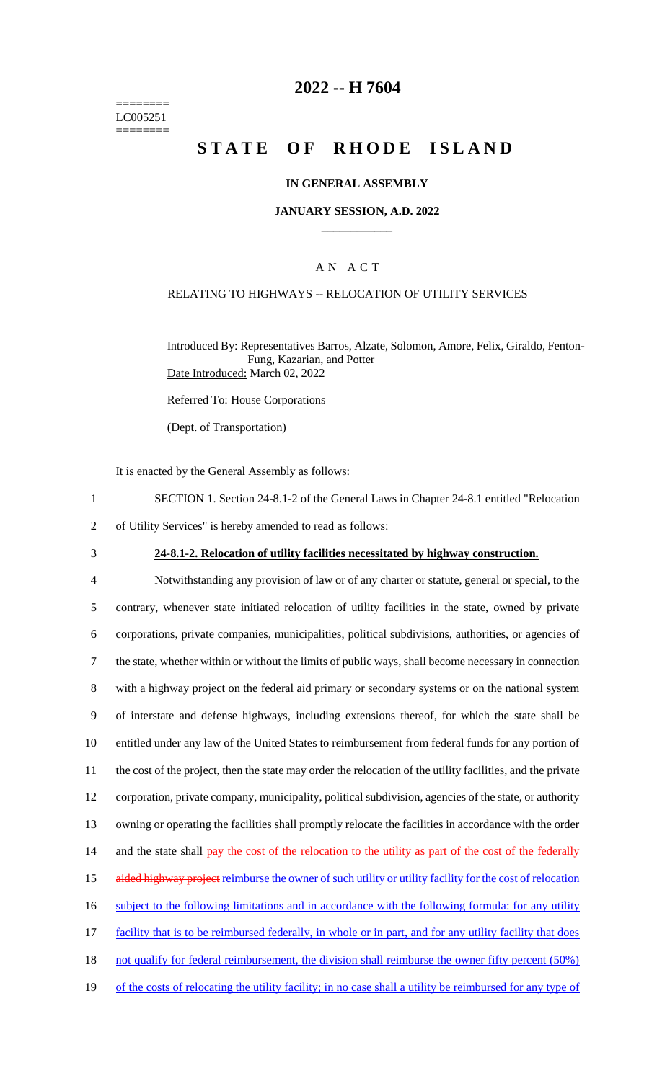======== LC005251 ========

## **2022 -- H 7604**

# **STATE OF RHODE ISLAND**

#### **IN GENERAL ASSEMBLY**

#### **JANUARY SESSION, A.D. 2022 \_\_\_\_\_\_\_\_\_\_\_\_**

### A N A C T

## RELATING TO HIGHWAYS -- RELOCATION OF UTILITY SERVICES

Introduced By: Representatives Barros, Alzate, Solomon, Amore, Felix, Giraldo, Fenton-Fung, Kazarian, and Potter Date Introduced: March 02, 2022

Referred To: House Corporations

(Dept. of Transportation)

It is enacted by the General Assembly as follows:

- 1 SECTION 1. Section 24-8.1-2 of the General Laws in Chapter 24-8.1 entitled "Relocation
- 2 of Utility Services" is hereby amended to read as follows:
- 

### 3 **24-8.1-2. Relocation of utility facilities necessitated by highway construction.**

 Notwithstanding any provision of law or of any charter or statute, general or special, to the contrary, whenever state initiated relocation of utility facilities in the state, owned by private corporations, private companies, municipalities, political subdivisions, authorities, or agencies of the state, whether within or without the limits of public ways, shall become necessary in connection with a highway project on the federal aid primary or secondary systems or on the national system of interstate and defense highways, including extensions thereof, for which the state shall be entitled under any law of the United States to reimbursement from federal funds for any portion of the cost of the project, then the state may order the relocation of the utility facilities, and the private corporation, private company, municipality, political subdivision, agencies of the state, or authority owning or operating the facilities shall promptly relocate the facilities in accordance with the order 14 and the state shall pay the cost of the relocation to the utility as part of the cost of the federally 15 aided highway project reimburse the owner of such utility or utility facility for the cost of relocation subject to the following limitations and in accordance with the following formula: for any utility 17 facility that is to be reimbursed federally, in whole or in part, and for any utility facility that does 18 not qualify for federal reimbursement, the division shall reimburse the owner fifty percent (50%) 19 of the costs of relocating the utility facility; in no case shall a utility be reimbursed for any type of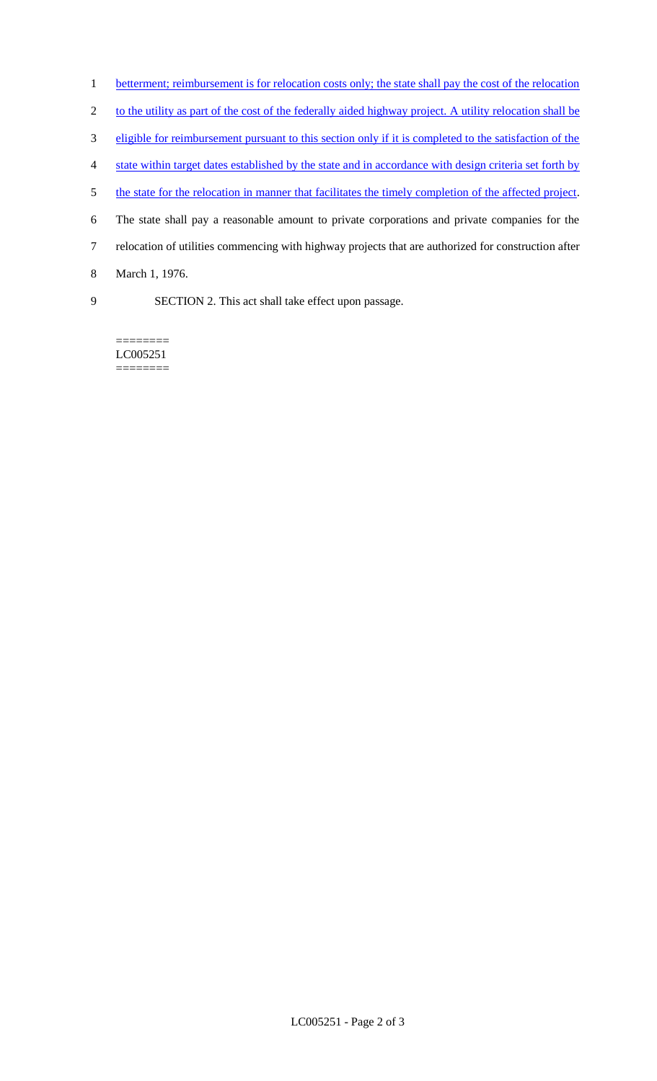- 1 betterment; reimbursement is for relocation costs only; the state shall pay the cost of the relocation
- 2 to the utility as part of the cost of the federally aided highway project. A utility relocation shall be
- 3 eligible for reimbursement pursuant to this section only if it is completed to the satisfaction of the
- 4 state within target dates established by the state and in accordance with design criteria set forth by
- 5 the state for the relocation in manner that facilitates the timely completion of the affected project.
- 6 The state shall pay a reasonable amount to private corporations and private companies for the
- 7 relocation of utilities commencing with highway projects that are authorized for construction after
- 8 March 1, 1976.
- 
- 9 SECTION 2. This act shall take effect upon passage.

======== LC005251 ========